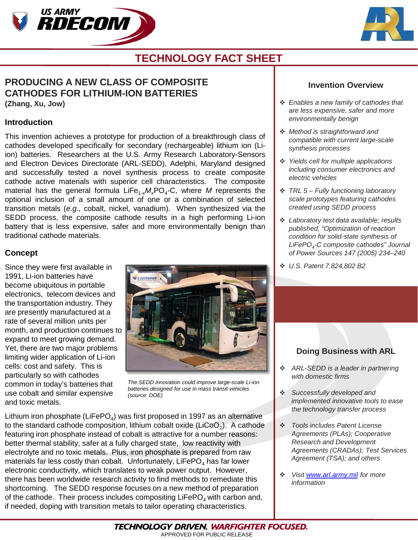



## **TECHNOLOGY FACT SHEET**

## **PRODUCING A NEW CLASS OF COMPOSITE CATHODES FOR LITHIUM-ION BATTERIES (Zhang, Xu, Jow)**

### **Introduction**

This invention achieves a prototype for production of a breakthrough class of cathodes developed specifically for secondary (rechargeable) lithium ion (Liion) batteries. Researchers at the U.S. Army Research Laboratory-Sensors and Electron Devices Directorate (ARL-SEDD), Adelphi, Maryland designed and successfully tested a novel synthesis process to create composite cathode active materials with superior cell characteristics. The composite material has the general formula LiFe<sub>1-x</sub> $M_X$ PO<sub>4</sub>-C, where *M* represents the optional inclusion of a small amount of one or a combination of selected transition metals (*e.g.*, cobalt, nickel, vanadium). When synthesized via the SEDD process, the composite cathode results in a high performing Li-ion battery that is less expensive, safer and more environmentally benign than traditional cathode materials.

### **Concept**

Since they were first available in 1991, Li-ion batteries have become ubiquitous in portable electronics, telecom devices and the transportation industry. They are presently manufactured at a rate of several million units per month, and production continues to expand to meet growing demand. Yet, there are two major problems limiting wider application of Li-ion cells: cost and safety. This is particularly so with cathodes common in today's batteries that use cobalt and similar expensive and toxic metals.



*The SEDD innovation could improve large-scale Li-ion batteries designed for use in mass transit vehicles (source: DOE)*

Lithium iron phosphate (LiFePO<sub>4</sub>) was first proposed in 1997 as an alternative to the standard cathode composition, lithium cobalt oxide ( $LiCoO<sub>2</sub>$ ). A cathode featuring iron phosphate instead of cobalt is attractive for a number reasons: better thermal stability, safer at a fully charged state, low reactivity with electrolyte and no toxic metals. Plus, iron phosphate is prepared from raw materials far less costly than cobalt. Unfortunately, LiFePO<sub>4</sub> has far lower electronic conductivity, which translates to weak power output. However, there has been worldwide research activity to find methods to remediate this shortcoming. The SEDD response focuses on a new method of preparation of the cathode. Their process includes compositing  $LIFePO<sub>4</sub>$  with carbon and, if needed, doping with transition metals to tailor operating characteristics.

### **Invention Overview**

- *Enables a new family of cathodes that are less expensive, safer and more environmentally benign*
- *Method is straightforward and compatible with current large-scale synthesis processes*
- *Yields cell for multiple applications including consumer electronics and electric vehicles*
- *TRL 5 – Fully functioning laboratory scale prototypes featuring cathodes created using SEDD process*
- *Laboratory test data available; results published, "Optimization of reaction condition for solid-state synthesis of LiFePO4-C composite cathodes" Journal of Power Sources 147 (2005) 234–240*
- *U.S. Patent 7,824,802 B2*

### **Doing Business with ARL**

- *ARL-SEDD is a leader in partnering with domestic firms*
- *Successfully developed and implemented innovative tools to ease the technology transfer process*
- *Tools includes Patent License Agreements (PLAs); Cooperative Research and Development Agreements (CRADAs); Test Services Agreement (TSA); and others*
- *Visit [www.arl.army.mil](http://www.arl.army.mil/) for more information*